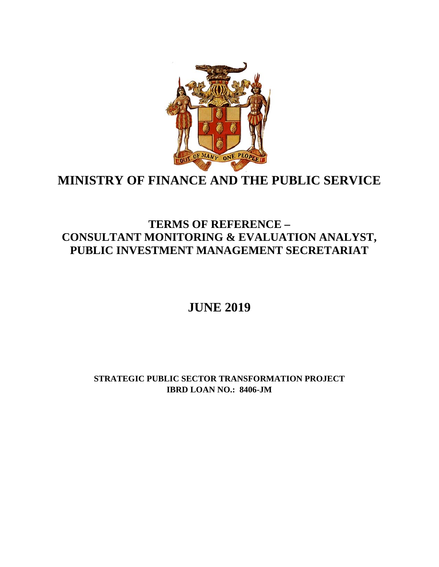

# **MINISTRY OF FINANCE AND THE PUBLIC SERVICE**

# **TERMS OF REFERENCE – CONSULTANT MONITORING & EVALUATION ANALYST, PUBLIC INVESTMENT MANAGEMENT SECRETARIAT**

# **JUNE 2019**

**STRATEGIC PUBLIC SECTOR TRANSFORMATION PROJECT IBRD LOAN NO.: 8406-JM**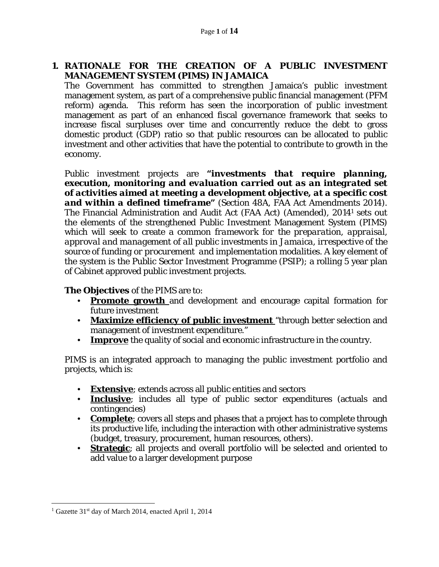# **1. RATIONALE FOR THE CREATION OF A PUBLIC INVESTMENT MANAGEMENT SYSTEM (PIMS) IN JAMAICA**

The Government has committed to strengthen Jamaica's public investment management system, as part of a comprehensive public financial management (PFM reform) agenda. This reform has seen the incorporation of public investment management as part of an enhanced fiscal governance framework that seeks to increase fiscal surpluses over time and concurrently reduce the debt to gross domestic product (GDP) ratio so that public resources can be allocated to public investment and other activities that have the potential to contribute to growth in the economy.

Public investment projects are **"***investments that require planning, execution, monitoring and evaluation carried out as an integrated set of activities aimed at meeting a development objective, at a specific cost and within a defined timeframe***"** *(Section 48A, FAA Act Amendments 2014)*. The Financial Administration and Audit Act (FAA Act) (Amended), 20141 sets out the elements of the strengthened Public Investment Management System (PIMS) which will seek to create a *common framework for the preparation, appraisal, approval and management of all public investments in Jamaica, irrespective of the source of funding or procurement and implementation modalities.* A key element of the system is the Public Sector Investment Programme (PSIP); a rolling 5 year plan of Cabinet approved public investment projects.

## **The Objectives** of the PIMS are to:

- **Promote growth** and development and encourage capital formation for future investment
- **Maximize efficiency of public investment** "through better selection and management of investment expenditure."
- **Improve** the quality of social and economic infrastructure in the country.

PIMS is an integrated approach to managing the public investment portfolio and projects, which is:

- **Extensive**; extends across all public entities and sectors
- **Inclusive**; includes all type of public sector expenditures (actuals and contingencies)
- **Complete**; covers all steps and phases that a project has to complete through its productive life, including the interaction with other administrative systems (budget, treasury, procurement, human resources, others).
- **Strategic**; all projects and overall portfolio will be selected and oriented to add value to a larger development purpose

 $\overline{a}$ <sup>1</sup> Gazette 31<sup>st</sup> day of March 2014, enacted April 1, 2014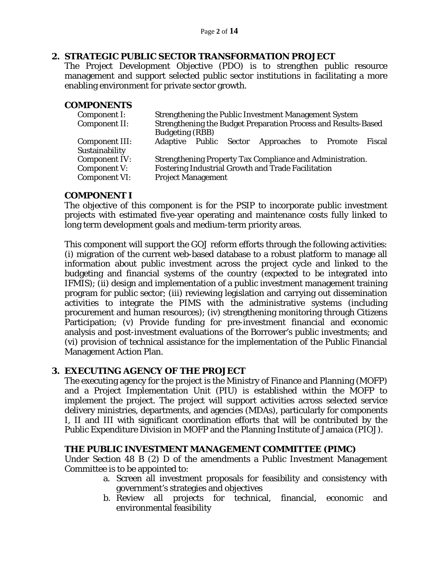### **2. STRATEGIC PUBLIC SECTOR TRANSFORMATION PROJECT**

The Project Development Objective (PDO) is to strengthen public resource management and support selected public sector institutions in facilitating a more enabling environment for private sector growth.

#### **COMPONENTS**

| Component I:         | <b>Strengthening the Public Investment Management System</b>   |  |  |                                                     |  |  |  |
|----------------------|----------------------------------------------------------------|--|--|-----------------------------------------------------|--|--|--|
| Component II:        | Strengthening the Budget Preparation Process and Results-Based |  |  |                                                     |  |  |  |
|                      | <b>Budgeting (RBB)</b>                                         |  |  |                                                     |  |  |  |
| Component III:       |                                                                |  |  | Adaptive Public Sector Approaches to Promote Fiscal |  |  |  |
| Sustainability       |                                                                |  |  |                                                     |  |  |  |
| <b>Component IV:</b> | Strengthening Property Tax Compliance and Administration.      |  |  |                                                     |  |  |  |
| Component V:         | Fostering Industrial Growth and Trade Facilitation             |  |  |                                                     |  |  |  |
| <b>Component VI:</b> | <b>Project Management</b>                                      |  |  |                                                     |  |  |  |

### **COMPONENT I**

The objective of this component is for the PSIP to incorporate public investment projects with estimated five-year operating and maintenance costs fully linked to long term development goals and medium-term priority areas.

This component will support the GOJ reform efforts through the following activities: (i) migration of the current web-based database to a robust platform to manage all information about public investment across the project cycle and linked to the budgeting and financial systems of the country (expected to be integrated into IFMIS); (ii) design and implementation of a public investment management training program for public sector; (iii) reviewing legislation and carrying out dissemination activities to integrate the PIMS with the administrative systems (including procurement and human resources); (iv) strengthening monitoring through Citizens Participation; (v) Provide funding for pre-investment financial and economic analysis and post-investment evaluations of the Borrower's public investments; and (vi) provision of technical assistance for the implementation of the Public Financial Management Action Plan.

## **3. EXECUTING AGENCY OF THE PROJECT**

The executing agency for the project is the Ministry of Finance and Planning (MOFP) and a Project Implementation Unit (PIU) is established within the MOFP to implement the project. The project will support activities across selected service delivery ministries, departments, and agencies (MDAs), particularly for components I, II and III with significant coordination efforts that will be contributed by the Public Expenditure Division in MOFP and the Planning Institute of Jamaica (PIOJ).

#### **THE PUBLIC INVESTMENT MANAGEMENT COMMITTEE (PIMC)**

Under Section 48 B (2) D of the amendments a Public Investment Management Committee is to be appointed to:

- a. Screen all investment proposals for feasibility and consistency with government's strategies and objectives
- b. Review all projects for technical, financial, economic and environmental feasibility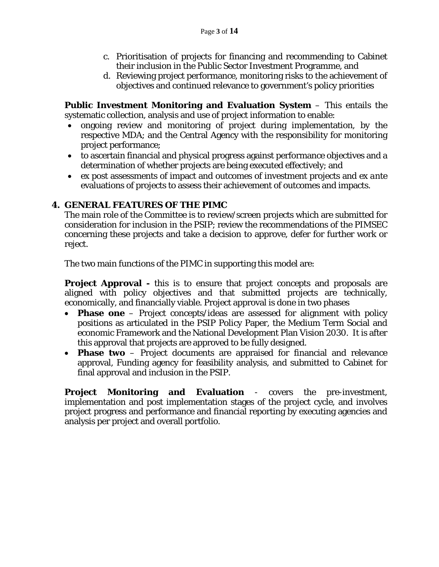- c. Prioritisation of projects for financing and recommending to Cabinet their inclusion in the Public Sector Investment Programme, and
- d. Reviewing project performance, monitoring risks to the achievement of objectives and continued relevance to government's policy priorities

**Public Investment Monitoring and Evaluation System** – This entails the systematic collection, analysis and use of project information to enable:

- ongoing review and monitoring of project during implementation, by the respective MDA; and the Central Agency with the responsibility for monitoring project performance;
- to ascertain financial and physical progress against performance objectives and a determination of whether projects are being executed effectively; and
- *ex post* assessments of impact and outcomes of investment projects and *ex ante* evaluations of projects to assess their achievement of outcomes and impacts.

# **4. GENERAL FEATURES OF THE PIMC**

The main role of the Committee is to review/screen projects which are submitted for consideration for inclusion in the PSIP; review the recommendations of the PIMSEC concerning these projects and take a decision to approve, defer for further work or reject.

The two main functions of the PIMC in supporting this model are:

**Project Approval** - this is to ensure that project concepts and proposals are aligned with policy objectives and that submitted projects are technically, economically, and financially viable. Project approval is done in two phases

- **Phase one** Project concepts/ideas are assessed for alignment with policy positions as articulated in the PSIP Policy Paper, the Medium Term Social and economic Framework and the National Development Plan Vision 2030. It is after this approval that projects are approved to be fully designed.
- **Phase two** Project documents are appraised for financial and relevance approval, Funding agency for feasibility analysis, and submitted to Cabinet for final approval and inclusion in the PSIP.

**Project Monitoring and Evaluation** - covers the pre-investment, implementation and post implementation stages of the project cycle, and involves project progress and performance and financial reporting by executing agencies and analysis per project and overall portfolio.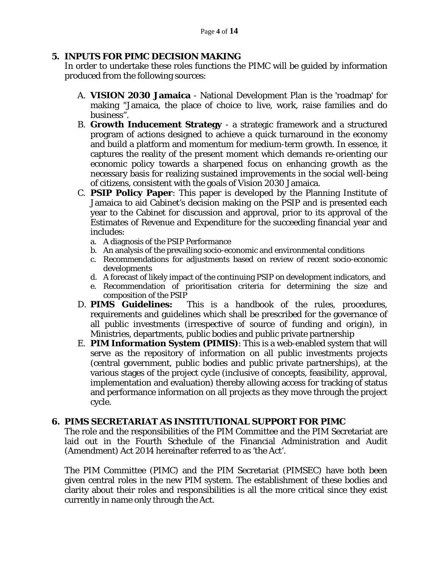# **5. INPUTS FOR PIMC DECISION MAKING**

In order to undertake these roles functions the PIMC will be guided by information produced from the following sources:

- A. **VISION 2030 Jamaica** National Development Plan is the 'roadmap' for making "Jamaica, the place of choice to live, work, raise families and do business".
- B. **Growth Inducement Strategy**  a strategic framework and a structured program of actions designed to achieve a quick turnaround in the economy and build a platform and momentum for medium-term growth. In essence, it captures the reality of the present moment which demands re-orienting our economic policy towards a sharpened focus on enhancing growth as the necessary basis for realizing sustained improvements in the social well-being of citizens, consistent with the goals of Vision 2030 Jamaica.
- C. **PSIP Policy Paper**: This paper is developed by the Planning Institute of Jamaica to aid Cabinet's decision making on the PSIP and is presented each year to the Cabinet for discussion and approval, prior to its approval of the Estimates of Revenue and Expenditure for the succeeding financial year and includes:
	- a. A diagnosis of the PSIP Performance
	- b. An analysis of the prevailing socio-economic and environmental conditions
	- c. Recommendations for adjustments based on review of recent socio-economic developments
	- d. A forecast of likely impact of the continuing PSIP on development indicators, and
	- e. Recommendation of prioritisation criteria for determining the size and composition of the PSIP
- D. **PIMS Guidelines:** This is a handbook of the rules, procedures, requirements and guidelines which shall be prescribed for the governance of all public investments (irrespective of source of funding and origin), in Ministries, departments, public bodies and public private partnership
- E. **PIM Information System (PIMIS)**: This is a web-enabled system that will serve as the repository of information on all public investments projects (central government, public bodies and public private partnerships), at the various stages of the project cycle (inclusive of concepts, feasibility, approval, implementation and evaluation) thereby allowing access for tracking of status and performance information on all projects as they move through the project cycle.

# **6. PIMS SECRETARIAT AS INSTITUTIONAL SUPPORT FOR PIMC**

The role and the responsibilities of the PIM Committee and the PIM Secretariat are laid out in the Fourth Schedule of the Financial Administration and Audit (Amendment) Act 2014 hereinafter referred to as 'the Act'.

The PIM Committee (PIMC) and the PIM Secretariat (PIMSEC) have both been given central roles in the new PIM system. The establishment of these bodies and clarity about their roles and responsibilities is all the more critical since they exist currently in name only through the Act.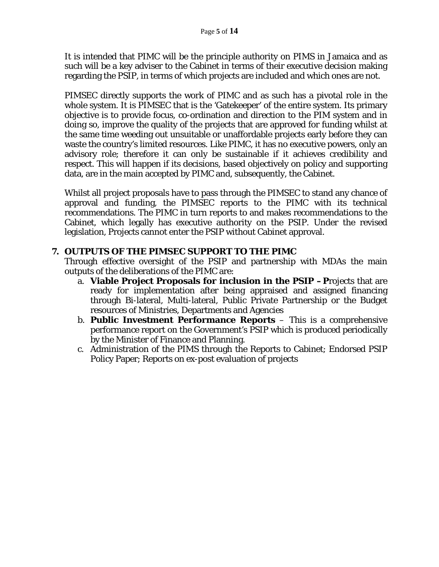It is intended that PIMC will be the principle authority on PIMS in Jamaica and as such will be a key adviser to the Cabinet in terms of their executive decision making regarding the PSIP, in terms of which projects are included and which ones are not.

PIMSEC directly supports the work of PIMC and as such has a pivotal role in the whole system. It is PIMSEC that is the 'Gatekeeper' of the entire system. Its primary objective is to provide focus, co-ordination and direction to the PIM system and in doing so, improve the quality of the projects that are approved for funding whilst at the same time weeding out unsuitable or unaffordable projects early before they can waste the country's limited resources. Like PIMC, it has no executive powers, only an advisory role; therefore it can only be sustainable if it achieves credibility and respect. This will happen if its decisions, based objectively on policy and supporting data, are in the main accepted by PIMC and, subsequently, the Cabinet.

Whilst all project proposals have to pass through the PIMSEC to stand any chance of approval and funding, the PIMSEC reports to the PIMC with its technical recommendations. The PIMC in turn reports to and makes recommendations to the Cabinet, which legally has executive authority on the PSIP. Under the revised legislation, Projects cannot enter the PSIP without Cabinet approval.

### **7. OUTPUTS OF THE PIMSEC SUPPORT TO THE PIMC**

Through effective oversight of the PSIP and partnership with MDAs the main outputs of the deliberations of the PIMC are:

- a. **Viable Project Proposals for inclusion in the PSIP –P**rojects that are ready for implementation after being appraised and assigned financing through Bi-lateral, Multi-lateral, Public Private Partnership or the Budget resources of Ministries, Departments and Agencies
- b. **Public Investment Performance Reports** This is a comprehensive performance report on the Government's PSIP which is produced periodically by the Minister of Finance and Planning.
- c. Administration of the PIMS through the Reports to Cabinet; Endorsed PSIP Policy Paper; Reports on ex-post evaluation of projects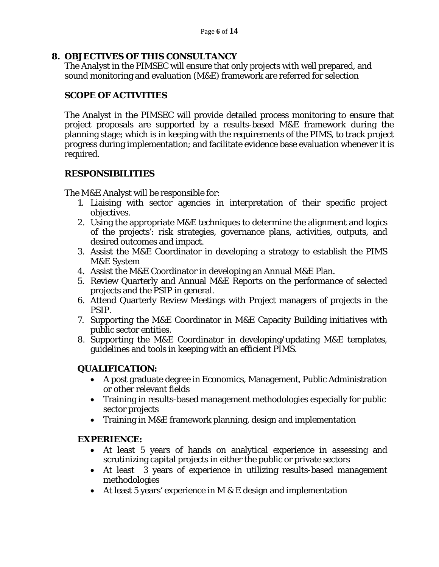# **8. OBJECTIVES OF THIS CONSULTANCY**

The Analyst in the PIMSEC will ensure that only projects with well prepared, and sound monitoring and evaluation (M&E) framework are referred for selection

# **SCOPE OF ACTIVITIES**

The Analyst in the PIMSEC will provide detailed process monitoring to ensure that project proposals are supported by a results-based M&E framework during the planning stage; which is in keeping with the requirements of the PIMS, to track project progress during implementation; and facilitate evidence base evaluation whenever it is required.

# **RESPONSIBILITIES**

The M&E Analyst will be responsible for:

- 1. Liaising with sector agencies in interpretation of their specific project objectives.
- 2. Using the appropriate M&E techniques to determine the alignment and logics of the projects': risk strategies, governance plans, activities, outputs, and desired outcomes and impact.
- 3. Assist the M&E Coordinator in developing a strategy to establish the PIMS M&E System
- 4. Assist the M&E Coordinator in developing an Annual M&E Plan.
- 5. Review Quarterly and Annual M&E Reports on the performance of selected projects and the PSIP in general.
- 6. Attend Quarterly Review Meetings with Project managers of projects in the PSIP.
- 7. Supporting the M&E Coordinator in M&E Capacity Building initiatives with public sector entities.
- 8. Supporting the M&E Coordinator in developing/updating M&E templates, guidelines and tools in keeping with an efficient PIMS.

## **QUALIFICATION:**

- A post graduate degree in Economics, Management, Public Administration or other relevant fields
- Training in results-based management methodologies especially for public sector projects
- Training in M&E framework planning, design and implementation

## **EXPERIENCE:**

- At least 5 years of hands on analytical experience in assessing and scrutinizing capital projects in either the public or private sectors
- At least 3 years of experience in utilizing results-based management methodologies
- At least 5 years' experience in M  $&$  E design and implementation